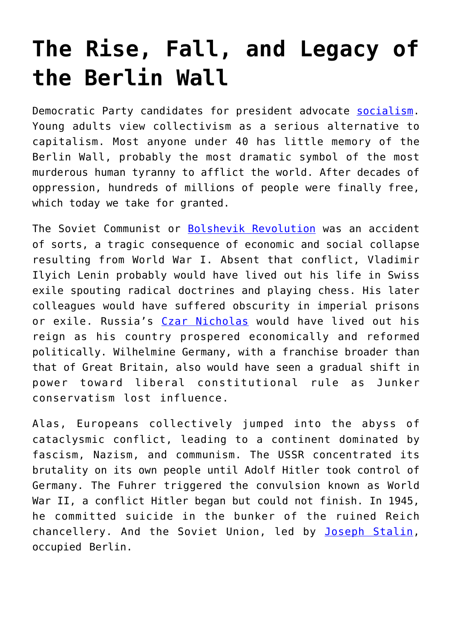## **[The Rise, Fall, and Legacy of](https://intellectualtakeout.org/2019/11/the-rise-fall-and-legacy-of-the-berlin-wall/) [the Berlin Wall](https://intellectualtakeout.org/2019/11/the-rise-fall-and-legacy-of-the-berlin-wall/)**

Democratic Party candidates for president advocate [socialism.](https://fee.org/resources/the-xyz-s-of-socialism/) Young adults view collectivism as a serious alternative to capitalism. Most anyone under 40 has little memory of the Berlin Wall, probably the most dramatic symbol of the most murderous human tyranny to afflict the world. After decades of oppression, hundreds of millions of people were finally free, which today we take for granted.

The Soviet Communist or [Bolshevik Revolution](https://www.history.com/topics/russia/russian-revolution) was an accident of sorts, a tragic consequence of economic and social collapse resulting from World War I. Absent that conflict, Vladimir Ilyich Lenin probably would have lived out his life in Swiss exile spouting radical doctrines and playing chess. His later colleagues would have suffered obscurity in imperial prisons or exile. Russia's [Czar Nicholas](https://www.biography.com/royalty/nicholas-ii) would have lived out his reign as his country prospered economically and reformed politically. Wilhelmine Germany, with a franchise broader than that of Great Britain, also would have seen a gradual shift in power toward liberal constitutional rule as Junker conservatism lost influence.

Alas, Europeans collectively jumped into the abyss of cataclysmic conflict, leading to a continent dominated by fascism, Nazism, and communism. The USSR concentrated its brutality on its own people until Adolf Hitler took control of Germany. The Fuhrer triggered the convulsion known as World War II, a conflict Hitler began but could not finish. In 1945, he committed suicide in the bunker of the ruined Reich chancellery. And the Soviet Union, led by [Joseph Stalin,](https://www.pbs.org/redfiles/bios/all_bio_joseph_stalin.htm) occupied Berlin.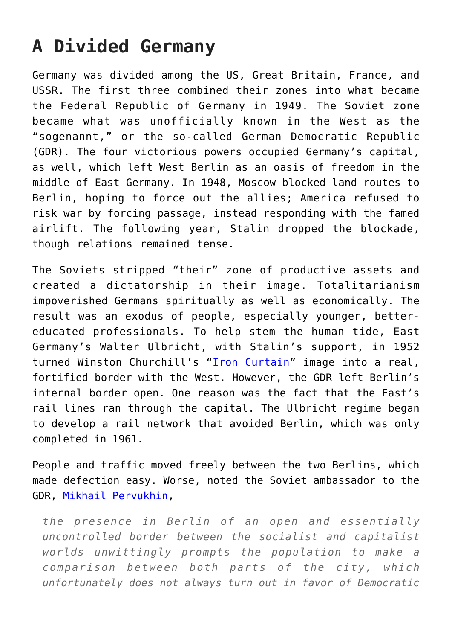## **A Divided Germany**

Germany was divided among the US, Great Britain, France, and USSR. The first three combined their zones into what became the Federal Republic of Germany in 1949. The Soviet zone became what was unofficially known in the West as the "sogenannt," or the so-called German Democratic Republic (GDR). The four victorious powers occupied Germany's capital, as well, which left West Berlin as an oasis of freedom in the middle of East Germany. In 1948, Moscow blocked land routes to Berlin, hoping to force out the allies; America refused to risk war by forcing passage, instead responding with the famed airlift. The following year, Stalin dropped the blockade, though relations remained tense.

The Soviets stripped "their" zone of productive assets and created a dictatorship in their image. Totalitarianism impoverished Germans spiritually as well as economically. The result was an exodus of people, especially younger, bettereducated professionals. To help stem the human tide, East Germany's Walter Ulbricht, with Stalin's support, in 1952 turned Winston Churchill's "[Iron Curtain"](https://www.historyonthenet.com/what-was-the-iron-curtain) image into a real, fortified border with the West. However, the GDR left Berlin's internal border open. One reason was the fact that the East's rail lines ran through the capital. The Ulbricht regime began to develop a rail network that avoided Berlin, which was only completed in 1961.

People and traffic moved freely between the two Berlins, which made defection easy. Worse, noted the Soviet ambassador to the GDR, [Mikhail Pervukhin](https://en.wikipedia.org/wiki/Mikhail_Pervukhin),

*the presence in Berlin of an open and essentially uncontrolled border between the socialist and capitalist worlds unwittingly prompts the population to make a comparison between both parts of the city, which unfortunately does not always turn out in favor of Democratic*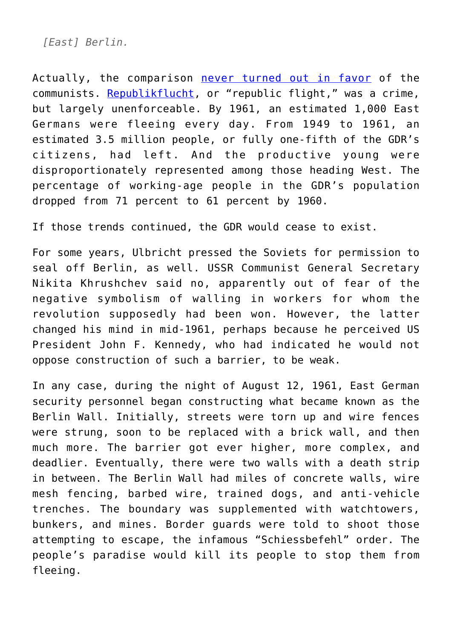*[East] Berlin.*

Actually, the comparison [never turned out in favor](https://fee.org/articles/comparing-the-economic-growth-of-east-germany-to-west-germany-a-history-lesson/) of the communists. [Republikflucht,](https://en.wikipedia.org/wiki/Republikflucht) or "republic flight," was a crime, but largely unenforceable. By 1961, an estimated 1,000 East Germans were fleeing every day. From 1949 to 1961, an estimated 3.5 million people, or fully one-fifth of the GDR's citizens, had left. And the productive young were disproportionately represented among those heading West. The percentage of working-age people in the GDR's population dropped from 71 percent to 61 percent by 1960.

If those trends continued, the GDR would cease to exist.

For some years, Ulbricht pressed the Soviets for permission to seal off Berlin, as well. USSR Communist General Secretary Nikita Khrushchev said no, apparently out of fear of the negative symbolism of walling in workers for whom the revolution supposedly had been won. However, the latter changed his mind in mid-1961, perhaps because he perceived US President John F. Kennedy, who had indicated he would not oppose construction of such a barrier, to be weak.

In any case, during the night of August 12, 1961, East German security personnel began constructing what became known as the Berlin Wall. Initially, streets were torn up and wire fences were strung, soon to be replaced with a brick wall, and then much more. The barrier got ever higher, more complex, and deadlier. Eventually, there were two walls with a death strip in between. The Berlin Wall had miles of concrete walls, wire mesh fencing, barbed wire, trained dogs, and anti-vehicle trenches. The boundary was supplemented with watchtowers, bunkers, and mines. Border guards were told to shoot those attempting to escape, the infamous "Schiessbefehl" order. The people's paradise would kill its people to stop them from fleeing.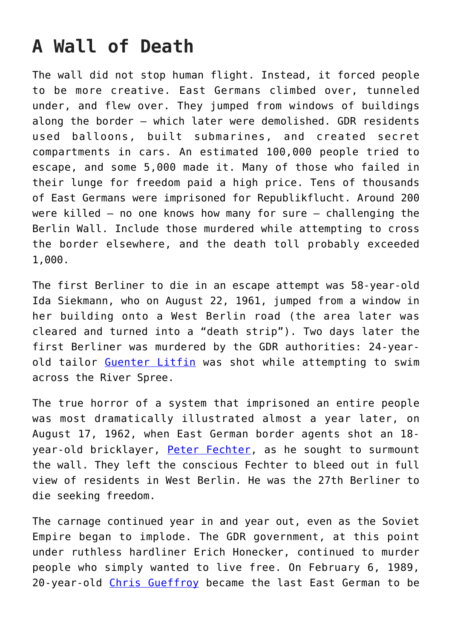## **A Wall of Death**

The wall did not stop human flight. Instead, it forced people to be more creative. East Germans climbed over, tunneled under, and flew over. They jumped from windows of buildings along the border – which later were demolished. GDR residents used balloons, built submarines, and created secret compartments in cars. An estimated 100,000 people tried to escape, and some 5,000 made it. Many of those who failed in their lunge for freedom paid a high price. Tens of thousands of East Germans were imprisoned for Republikflucht. Around 200 were killed – no one knows how many for sure – challenging the Berlin Wall. Include those murdered while attempting to cross the border elsewhere, and the death toll probably exceeded 1,000.

The first Berliner to die in an escape attempt was 58-year-old Ida Siekmann, who on August 22, 1961, jumped from a window in her building onto a West Berlin road (the area later was cleared and turned into a "death strip"). Two days later the first Berliner was murdered by the GDR authorities: 24-yearold tailor [Guenter Litfin](https://en.wikipedia.org/wiki/G%C3%BCnter_Litfin) was shot while attempting to swim across the River Spree.

The true horror of a system that imprisoned an entire people was most dramatically illustrated almost a year later, on August 17, 1962, when East German border agents shot an 18- year-old bricklayer, [Peter Fechter](https://fee.org/articles/the-berlin-wall-those-who-refused-to-be-caged/), as he sought to surmount the wall. They left the conscious Fechter to bleed out in full view of residents in West Berlin. He was the 27th Berliner to die seeking freedom.

The carnage continued year in and year out, even as the Soviet Empire began to implode. The GDR government, at this point under ruthless hardliner Erich Honecker, continued to murder people who simply wanted to live free. On February 6, 1989, 20-year-old [Chris Gueffroy](https://en.wikipedia.org/wiki/Chris_Gueffroy) became the last East German to be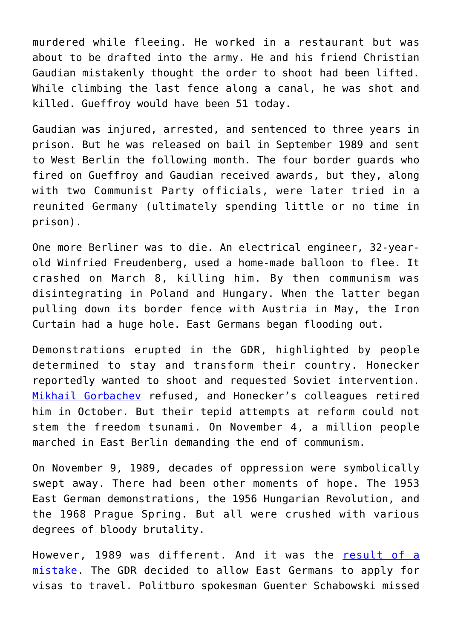murdered while fleeing. He worked in a restaurant but was about to be drafted into the army. He and his friend Christian Gaudian mistakenly thought the order to shoot had been lifted. While climbing the last fence along a canal, he was shot and killed. Gueffroy would have been 51 today.

Gaudian was injured, arrested, and sentenced to three years in prison. But he was released on bail in September 1989 and sent to West Berlin the following month. The four border guards who fired on Gueffroy and Gaudian received awards, but they, along with two Communist Party officials, were later tried in a reunited Germany (ultimately spending little or no time in prison).

One more Berliner was to die. An electrical engineer, 32-yearold Winfried Freudenberg, used a home-made balloon to flee. It crashed on March 8, killing him. By then communism was disintegrating in Poland and Hungary. When the latter began pulling down its border fence with Austria in May, the Iron Curtain had a huge hole. East Germans began flooding out.

Demonstrations erupted in the GDR, highlighted by people determined to stay and transform their country. Honecker reportedly wanted to shoot and requested Soviet intervention. [Mikhail Gorbachev](https://en.wikipedia.org/wiki/Mikhail_Gorbachev) refused, and Honecker's colleagues retired him in October. But their tepid attempts at reform could not stem the freedom tsunami. On November 4, a million people marched in East Berlin demanding the end of communism.

On November 9, 1989, decades of oppression were symbolically swept away. There had been other moments of hope. The 1953 East German demonstrations, the 1956 Hungarian Revolution, and the 1968 Prague Spring. But all were crushed with various degrees of bloody brutality.

However, 1989 was different. And it was the [result of a](https://fee.org/articles/the-mistake-that-broke-the-berlin-wall/) [mistake](https://fee.org/articles/the-mistake-that-broke-the-berlin-wall/). The GDR decided to allow East Germans to apply for visas to travel. Politburo spokesman Guenter Schabowski missed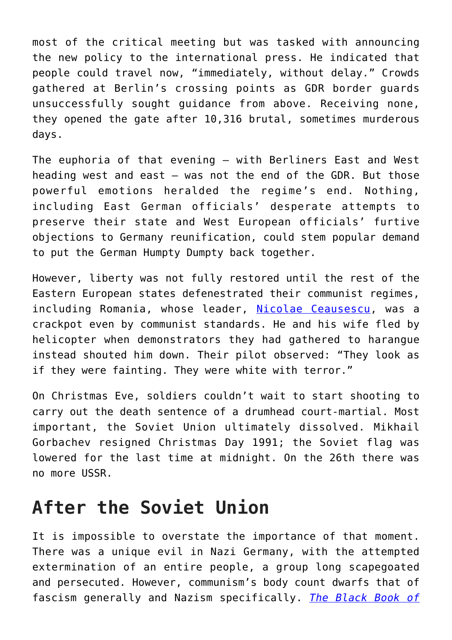most of the critical meeting but was tasked with announcing the new policy to the international press. He indicated that people could travel now, "immediately, without delay." Crowds gathered at Berlin's crossing points as GDR border guards unsuccessfully sought guidance from above. Receiving none, they opened the gate after 10,316 brutal, sometimes murderous days.

The euphoria of that evening – with Berliners East and West heading west and east – was not the end of the GDR. But those powerful emotions heralded the regime's end. Nothing, including East German officials' desperate attempts to preserve their state and West European officials' furtive objections to Germany reunification, could stem popular demand to put the German Humpty Dumpty back together.

However, liberty was not fully restored until the rest of the Eastern European states defenestrated their communist regimes, including Romania, whose leader, [Nicolae Ceausescu](https://fee.org/articles/what-nicolae-ceausescu-can-teach-us-about-despotism/), was a crackpot even by communist standards. He and his wife fled by helicopter when demonstrators they had gathered to harangue instead shouted him down. Their pilot observed: "They look as if they were fainting. They were white with terror."

On Christmas Eve, soldiers couldn't wait to start shooting to carry out the death sentence of a drumhead court-martial. Most important, the Soviet Union ultimately dissolved. Mikhail Gorbachev resigned Christmas Day 1991; the Soviet flag was lowered for the last time at midnight. On the 26th there was no more USSR.

## **After the Soviet Union**

It is impossible to overstate the importance of that moment. There was a unique evil in Nazi Germany, with the attempted extermination of an entire people, a group long scapegoated and persecuted. However, communism's body count dwarfs that of fascism generally and Nazism specifically. *[The Black Book of](https://amzn.to/2pxCotp)*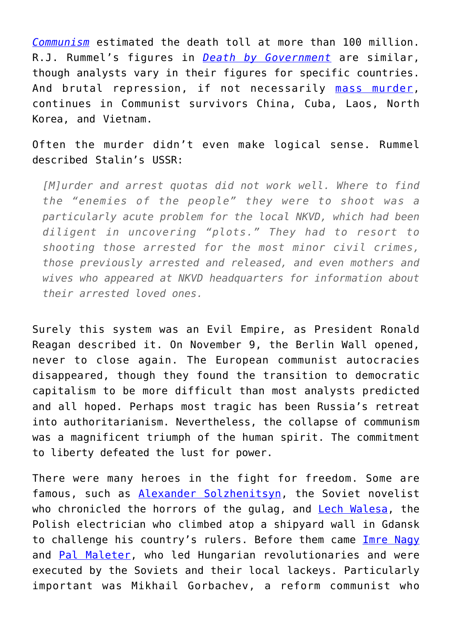*[Communism](https://amzn.to/2pxCotp)* estimated the death toll at more than 100 million. R.J. Rummel's figures in *[Death by Government](https://amzn.to/327ZEeO)* are similar, though analysts vary in their figures for specific countries. And brutal repression, if not necessarily [mass murder,](https://fee.org/articles/who-was-the-biggest-mass-murderer-in-history/) continues in Communist survivors China, Cuba, Laos, North Korea, and Vietnam.

Often the murder didn't even make logical sense. Rummel described Stalin's USSR:

*[M]urder and arrest quotas did not work well. Where to find the "enemies of the people" they were to shoot was a particularly acute problem for the local NKVD, which had been diligent in uncovering "plots." They had to resort to shooting those arrested for the most minor civil crimes, those previously arrested and released, and even mothers and wives who appeared at NKVD headquarters for information about their arrested loved ones.*

Surely this system was an Evil Empire, as President Ronald Reagan described it. On November 9, the Berlin Wall opened, never to close again. The European communist autocracies disappeared, though they found the transition to democratic capitalism to be more difficult than most analysts predicted and all hoped. Perhaps most tragic has been Russia's retreat into authoritarianism. Nevertheless, the collapse of communism was a magnificent triumph of the human spirit. The commitment to liberty defeated the lust for power.

There were many heroes in the fight for freedom. Some are famous, such as [Alexander Solzhenitsyn,](https://www.nobelprize.org/prizes/literature/1970/solzhenitsyn/biographical/) the Soviet novelist who chronicled the horrors of the gulag, and **Lech Walesa**, the Polish electrician who climbed atop a shipyard wall in Gdansk to challenge his country's rulers. Before them came [Imre Nagy](https://www.britannica.com/biography/Imre-Nagy) and [Pal Maleter](https://spartacus-educational.com/COLDmeleter.htm), who led Hungarian revolutionaries and were executed by the Soviets and their local lackeys. Particularly important was Mikhail Gorbachev, a reform communist who